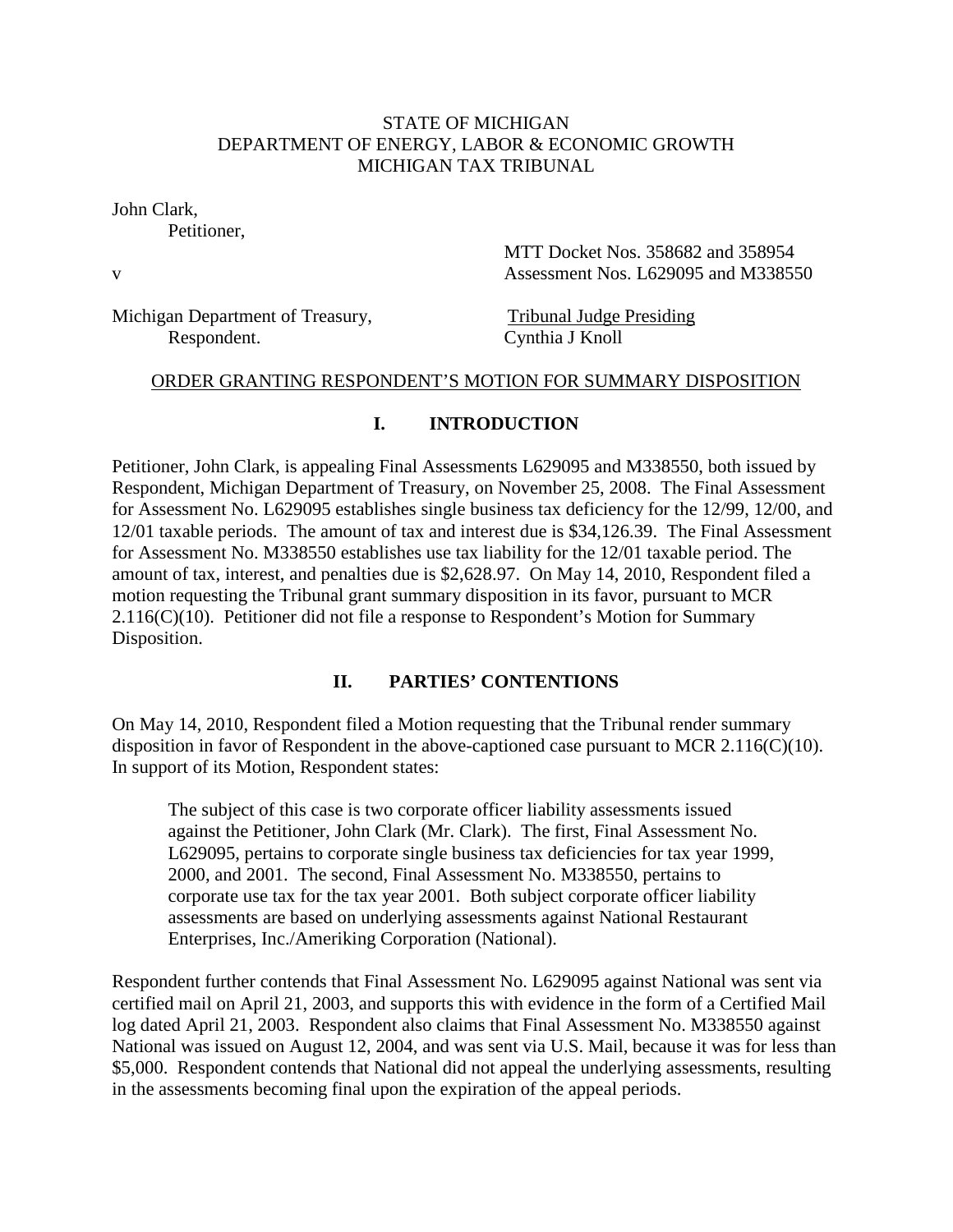### STATE OF MICHIGAN DEPARTMENT OF ENERGY, LABOR & ECONOMIC GROWTH MICHIGAN TAX TRIBUNAL

John Clark,

Petitioner,

 MTT Docket Nos. 358682 and 358954 v Assessment Nos. L629095 and M338550

Michigan Department of Treasury, Tribunal Judge Presiding Respondent. Cynthia J Knoll

#### ORDER GRANTING RESPONDENT'S MOTION FOR SUMMARY DISPOSITION

### **I. INTRODUCTION**

Petitioner, John Clark, is appealing Final Assessments L629095 and M338550, both issued by Respondent, Michigan Department of Treasury, on November 25, 2008. The Final Assessment for Assessment No. L629095 establishes single business tax deficiency for the 12/99, 12/00, and 12/01 taxable periods. The amount of tax and interest due is \$34,126.39. The Final Assessment for Assessment No. M338550 establishes use tax liability for the 12/01 taxable period. The amount of tax, interest, and penalties due is \$2,628.97. On May 14, 2010, Respondent filed a motion requesting the Tribunal grant summary disposition in its favor, pursuant to MCR  $2.116(C)(10)$ . Petitioner did not file a response to Respondent's Motion for Summary Disposition.

#### **II. PARTIES' CONTENTIONS**

On May 14, 2010, Respondent filed a Motion requesting that the Tribunal render summary disposition in favor of Respondent in the above-captioned case pursuant to MCR 2.116(C)(10). In support of its Motion, Respondent states:

The subject of this case is two corporate officer liability assessments issued against the Petitioner, John Clark (Mr. Clark). The first, Final Assessment No. L629095, pertains to corporate single business tax deficiencies for tax year 1999, 2000, and 2001. The second, Final Assessment No. M338550, pertains to corporate use tax for the tax year 2001. Both subject corporate officer liability assessments are based on underlying assessments against National Restaurant Enterprises, Inc./Ameriking Corporation (National).

Respondent further contends that Final Assessment No. L629095 against National was sent via certified mail on April 21, 2003, and supports this with evidence in the form of a Certified Mail log dated April 21, 2003. Respondent also claims that Final Assessment No. M338550 against National was issued on August 12, 2004, and was sent via U.S. Mail, because it was for less than \$5,000. Respondent contends that National did not appeal the underlying assessments, resulting in the assessments becoming final upon the expiration of the appeal periods.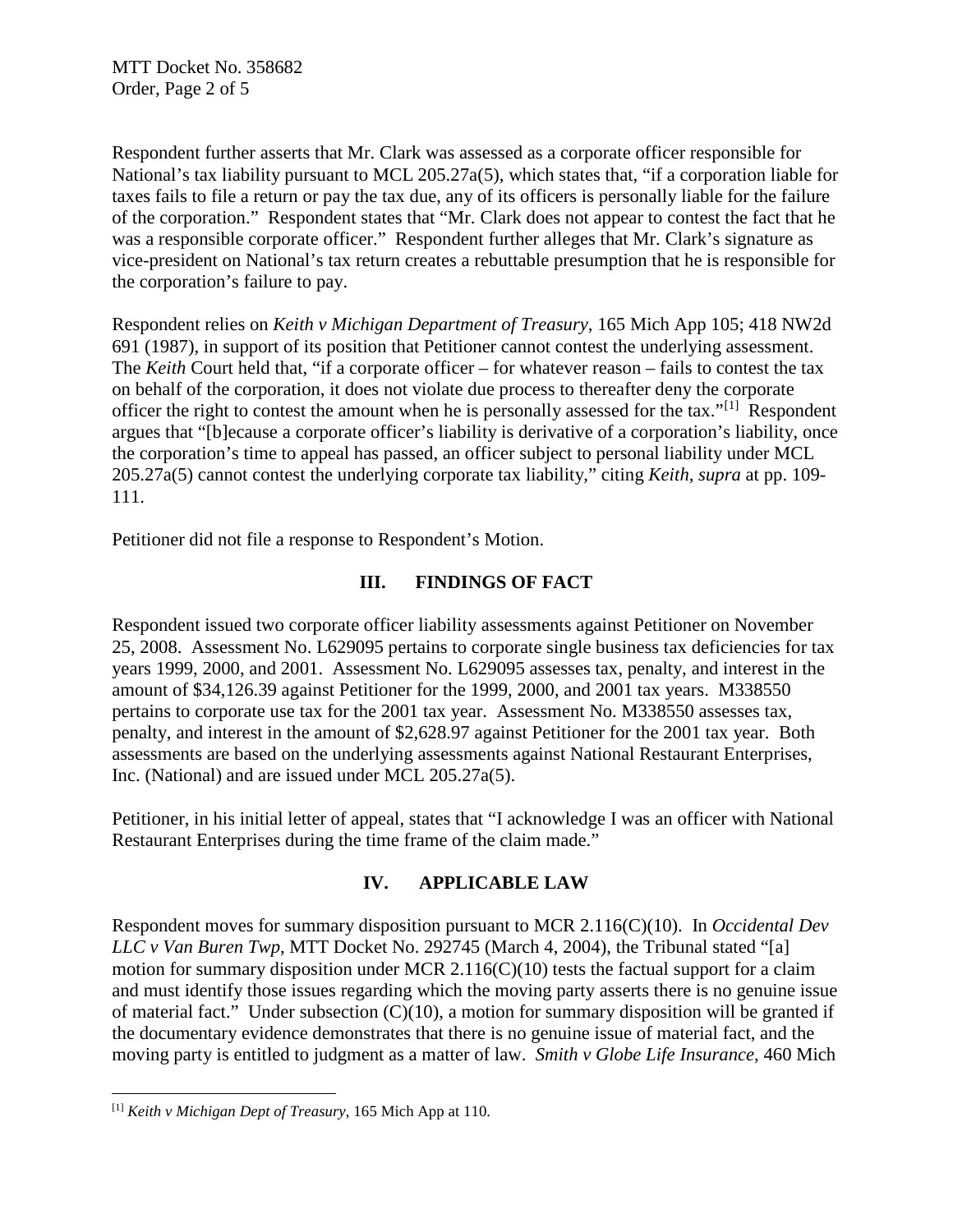Respondent further asserts that Mr. Clark was assessed as a corporate officer responsible for National's tax liability pursuant to MCL 205.27a(5), which states that, "if a corporation liable for taxes fails to file a return or pay the tax due, any of its officers is personally liable for the failure of the corporation." Respondent states that "Mr. Clark does not appear to contest the fact that he was a responsible corporate officer." Respondent further alleges that Mr. Clark's signature as vice-president on National's tax return creates a rebuttable presumption that he is responsible for the corporation's failure to pay.

Respondent relies on *Keith v Michigan Department of Treasury,* 165 Mich App 105; 418 NW2d 691 (1987), in support of its position that Petitioner cannot contest the underlying assessment. The *Keith* Court held that, "if a corporate officer – for whatever reason – fails to contest the tax on behalf of the corporation, it does not violate due process to thereafter deny the corporate officer the right to contest the amount when he is personally assessed for the tax."<sup>[\[1\]](#page-1-0)</sup> Respondent argues that "[b]ecause a corporate officer's liability is derivative of a corporation's liability, once the corporation's time to appeal has passed, an officer subject to personal liability under MCL 205.27a(5) cannot contest the underlying corporate tax liability," citing *Keith, supra* at pp. 109- 111.

Petitioner did not file a response to Respondent's Motion.

## **III. FINDINGS OF FACT**

Respondent issued two corporate officer liability assessments against Petitioner on November 25, 2008. Assessment No. L629095 pertains to corporate single business tax deficiencies for tax years 1999, 2000, and 2001. Assessment No. L629095 assesses tax, penalty, and interest in the amount of \$34,126.39 against Petitioner for the 1999, 2000, and 2001 tax years. M338550 pertains to corporate use tax for the 2001 tax year. Assessment No. M338550 assesses tax, penalty, and interest in the amount of \$2,628.97 against Petitioner for the 2001 tax year. Both assessments are based on the underlying assessments against National Restaurant Enterprises, Inc. (National) and are issued under MCL 205.27a(5).

Petitioner, in his initial letter of appeal, states that "I acknowledge I was an officer with National Restaurant Enterprises during the time frame of the claim made."

### **IV. APPLICABLE LAW**

Respondent moves for summary disposition pursuant to MCR 2.116(C)(10). In *Occidental Dev LLC v Van Buren Twp*, MTT Docket No. 292745 (March 4, 2004), the Tribunal stated "[a] motion for summary disposition under MCR 2.116( $C$ )(10) tests the factual support for a claim and must identify those issues regarding which the moving party asserts there is no genuine issue of material fact." Under subsection (C)(10), a motion for summary disposition will be granted if the documentary evidence demonstrates that there is no genuine issue of material fact, and the moving party is entitled to judgment as a matter of law. *Smith v Globe Life Insurance*, 460 Mich

<span id="page-1-0"></span> <sup>[1]</sup> *Keith v Michigan Dept of Treasury*, 165 Mich App at 110.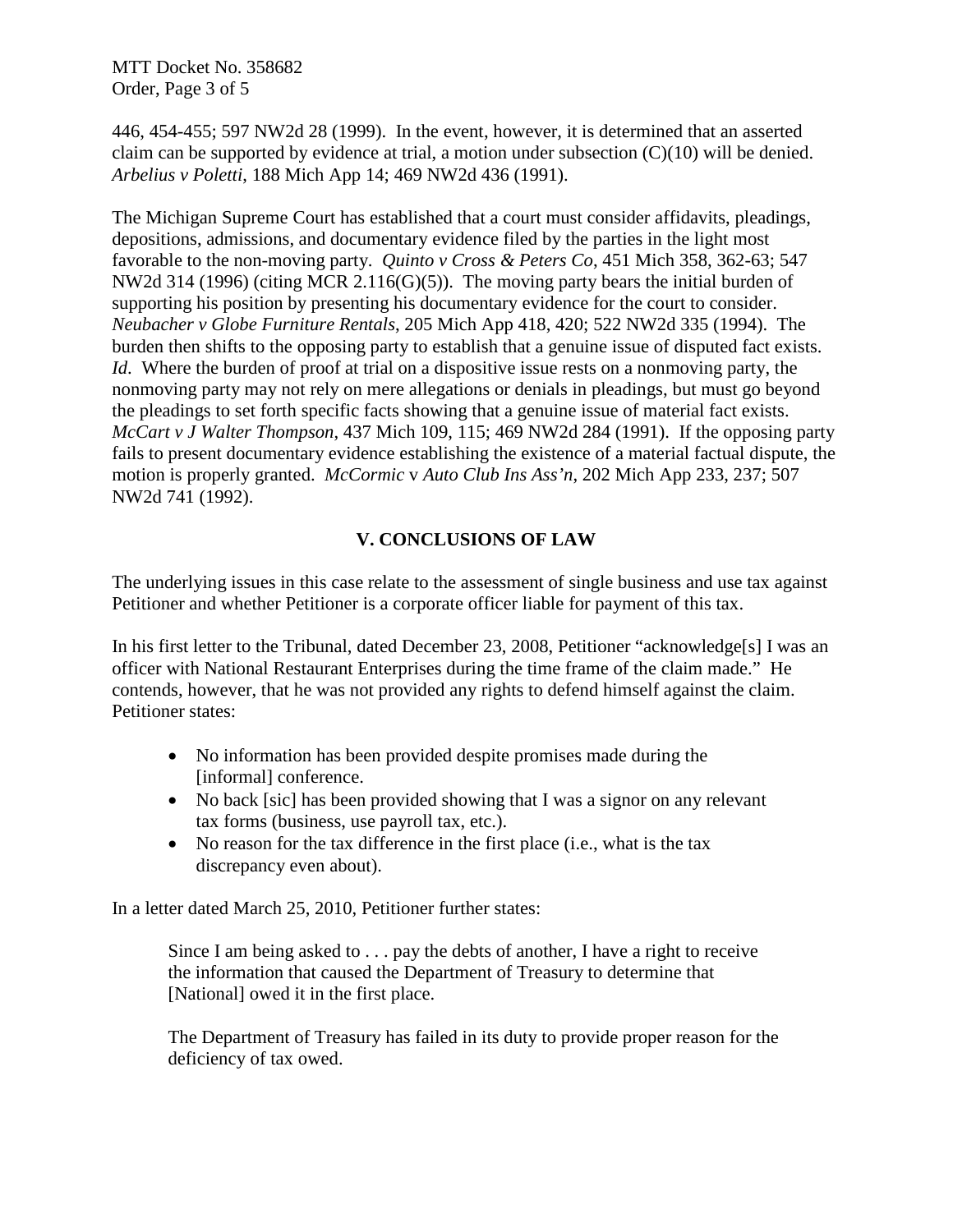MTT Docket No. 358682 Order, Page 3 of 5

446, 454-455; 597 NW2d 28 (1999). In the event, however, it is determined that an asserted claim can be supported by evidence at trial, a motion under subsection  $(C)(10)$  will be denied. *Arbelius v Poletti*, 188 Mich App 14; 469 NW2d 436 (1991).

The Michigan Supreme Court has established that a court must consider affidavits, pleadings, depositions, admissions, and documentary evidence filed by the parties in the light most favorable to the non-moving party. *Quinto v Cross & Peters Co*, 451 Mich 358, 362-63; 547 NW2d 314 (1996) (citing MCR 2.116(G)(5)).The moving party bears the initial burden of supporting his position by presenting his documentary evidence for the court to consider. *Neubacher v Globe Furniture Rentals*, 205 Mich App 418, 420; 522 NW2d 335 (1994). The burden then shifts to the opposing party to establish that a genuine issue of disputed fact exists. *Id.* Where the burden of proof at trial on a dispositive issue rests on a nonmoving party, the nonmoving party may not rely on mere allegations or denials in pleadings, but must go beyond the pleadings to set forth specific facts showing that a genuine issue of material fact exists. *McCart v J Walter Thompson*, 437 Mich 109, 115; 469 NW2d 284 (1991). If the opposing party fails to present documentary evidence establishing the existence of a material factual dispute, the motion is properly granted. *McCormic* v *Auto Club Ins Ass'n*, 202 Mich App 233, 237; 507 NW2d 741 (1992).

## **V. CONCLUSIONS OF LAW**

The underlying issues in this case relate to the assessment of single business and use tax against Petitioner and whether Petitioner is a corporate officer liable for payment of this tax.

In his first letter to the Tribunal, dated December 23, 2008, Petitioner "acknowledge[s] I was an officer with National Restaurant Enterprises during the time frame of the claim made." He contends, however, that he was not provided any rights to defend himself against the claim. Petitioner states:

- No information has been provided despite promises made during the [informal] conference.
- No back [sic] has been provided showing that I was a signor on any relevant tax forms (business, use payroll tax, etc.).
- No reason for the tax difference in the first place (i.e., what is the tax discrepancy even about).

In a letter dated March 25, 2010, Petitioner further states:

Since I am being asked to  $\ldots$  pay the debts of another, I have a right to receive the information that caused the Department of Treasury to determine that [National] owed it in the first place.

The Department of Treasury has failed in its duty to provide proper reason for the deficiency of tax owed.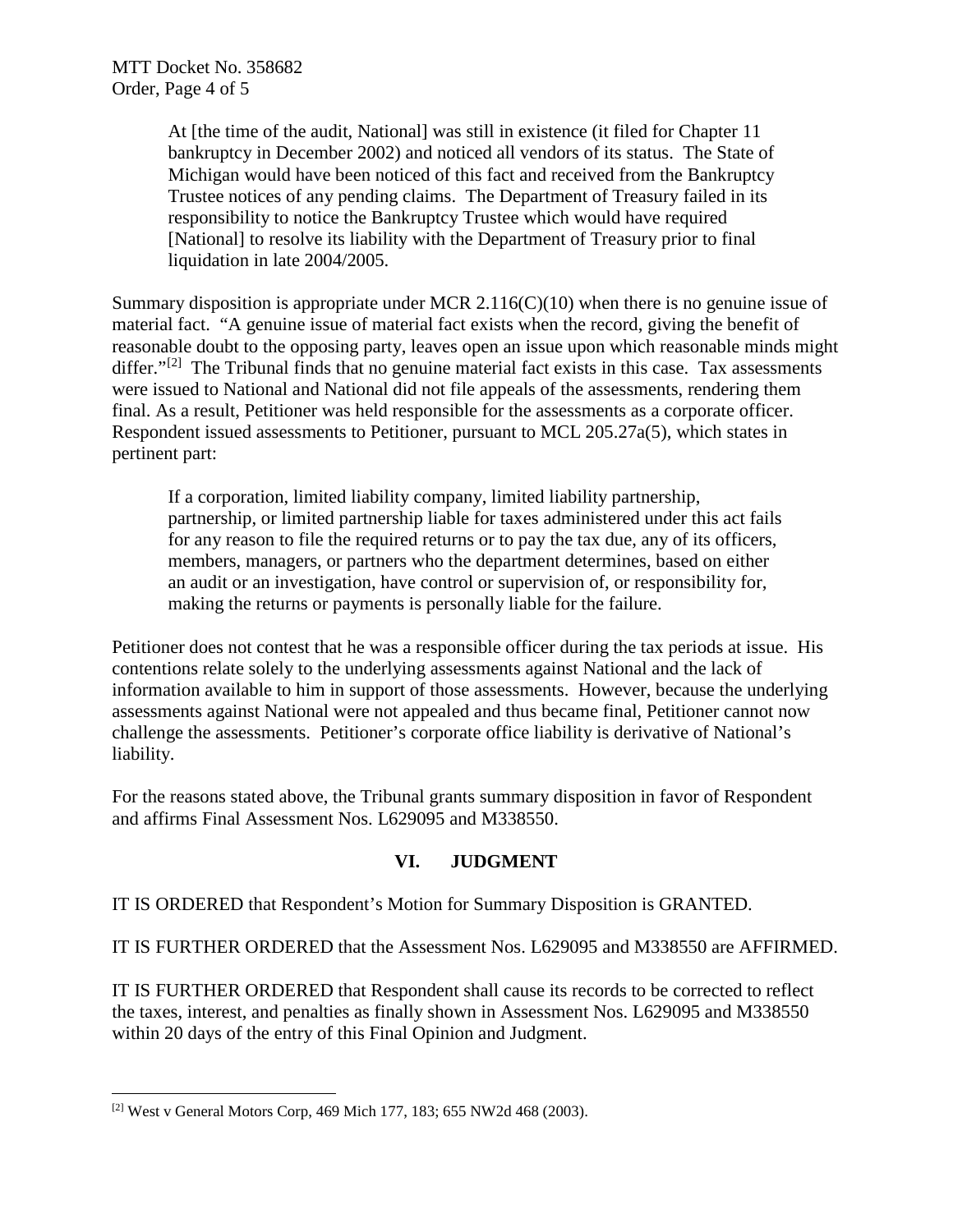At [the time of the audit, National] was still in existence (it filed for Chapter 11 bankruptcy in December 2002) and noticed all vendors of its status. The State of Michigan would have been noticed of this fact and received from the Bankruptcy Trustee notices of any pending claims. The Department of Treasury failed in its responsibility to notice the Bankruptcy Trustee which would have required [National] to resolve its liability with the Department of Treasury prior to final liquidation in late 2004/2005.

Summary disposition is appropriate under MCR 2.116(C)(10) when there is no genuine issue of material fact. "A genuine issue of material fact exists when the record, giving the benefit of reasonable doubt to the opposing party, leaves open an issue upon which reasonable minds might differ." $[2]$  The Tribunal finds that no genuine material fact exists in this case. Tax assessments were issued to National and National did not file appeals of the assessments, rendering them final. As a result, Petitioner was held responsible for the assessments as a corporate officer. Respondent issued assessments to Petitioner, pursuant to MCL 205.27a(5), which states in pertinent part:

If a corporation, limited liability company, limited liability partnership, partnership, or limited partnership liable for taxes administered under this act fails for any reason to file the required returns or to pay the tax due, any of its officers, members, managers, or partners who the department determines, based on either an audit or an investigation, have control or supervision of, or responsibility for, making the returns or payments is personally liable for the failure.

Petitioner does not contest that he was a responsible officer during the tax periods at issue. His contentions relate solely to the underlying assessments against National and the lack of information available to him in support of those assessments. However, because the underlying assessments against National were not appealed and thus became final, Petitioner cannot now challenge the assessments. Petitioner's corporate office liability is derivative of National's liability.

For the reasons stated above, the Tribunal grants summary disposition in favor of Respondent and affirms Final Assessment Nos. L629095 and M338550.

### **VI. JUDGMENT**

IT IS ORDERED that Respondent's Motion for Summary Disposition is GRANTED.

IT IS FURTHER ORDERED that the Assessment Nos. L629095 and M338550 are AFFIRMED.

IT IS FURTHER ORDERED that Respondent shall cause its records to be corrected to reflect the taxes, interest, and penalties as finally shown in Assessment Nos. L629095 and M338550 within 20 days of the entry of this Final Opinion and Judgment.

<span id="page-3-0"></span><sup>[2]</sup> West v General Motors Corp, 469 Mich 177, 183; 655 NW2d 468 (2003).